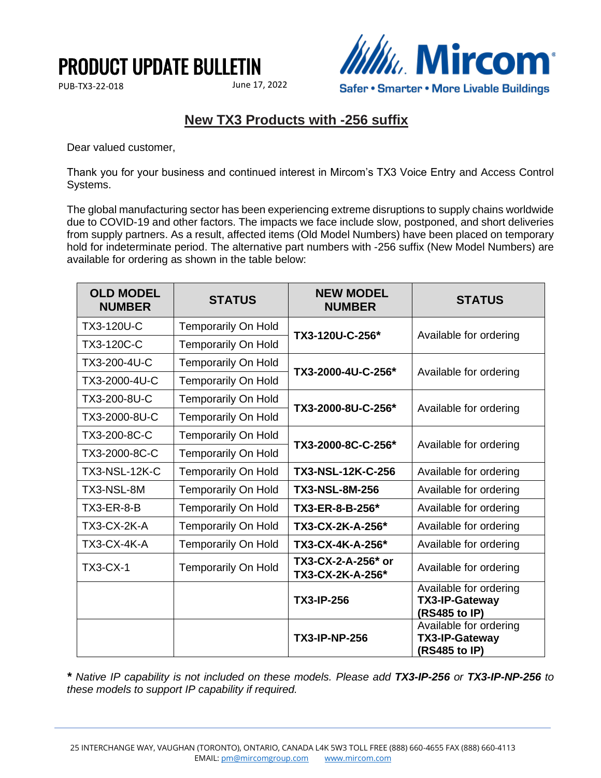## PRODUCT UPDATE BULLETIN

PUB-TX3-22-018 June 17, 2022



## **New TX3 Products with -256 suffix**

Dear valued customer,

Thank you for your business and continued interest in Mircom's TX3 Voice Entry and Access Control Systems.

The global manufacturing sector has been experiencing extreme disruptions to supply chains worldwide due to COVID-19 and other factors. The impacts we face include slow, postponed, and short deliveries from supply partners. As a result, affected items (Old Model Numbers) have been placed on temporary hold for indeterminate period. The alternative part numbers with -256 suffix (New Model Numbers) are available for ordering as shown in the table below:

| <b>OLD MODEL</b><br><b>NUMBER</b> | <b>STATUS</b>              | <b>NEW MODEL</b><br><b>NUMBER</b>      | <b>STATUS</b>                                                    |
|-----------------------------------|----------------------------|----------------------------------------|------------------------------------------------------------------|
| <b>TX3-120U-C</b>                 | <b>Temporarily On Hold</b> | TX3-120U-C-256*                        | Available for ordering                                           |
| TX3-120C-C                        | Temporarily On Hold        |                                        |                                                                  |
| TX3-200-4U-C                      | <b>Temporarily On Hold</b> | TX3-2000-4U-C-256*                     | Available for ordering                                           |
| TX3-2000-4U-C                     | <b>Temporarily On Hold</b> |                                        |                                                                  |
| TX3-200-8U-C                      | <b>Temporarily On Hold</b> | TX3-2000-8U-C-256*                     | Available for ordering                                           |
| TX3-2000-8U-C                     | <b>Temporarily On Hold</b> |                                        |                                                                  |
| TX3-200-8C-C                      | <b>Temporarily On Hold</b> | TX3-2000-8C-C-256*                     | Available for ordering                                           |
| TX3-2000-8C-C                     | <b>Temporarily On Hold</b> |                                        |                                                                  |
| <b>TX3-NSL-12K-C</b>              | <b>Temporarily On Hold</b> | <b>TX3-NSL-12K-C-256</b>               | Available for ordering                                           |
| TX3-NSL-8M                        | <b>Temporarily On Hold</b> | <b>TX3-NSL-8M-256</b>                  | Available for ordering                                           |
| <b>TX3-ER-8-B</b>                 | <b>Temporarily On Hold</b> | TX3-ER-8-B-256*                        | Available for ordering                                           |
| TX3-CX-2K-A                       | <b>Temporarily On Hold</b> | TX3-CX-2K-A-256*                       | Available for ordering                                           |
| TX3-CX-4K-A                       | <b>Temporarily On Hold</b> | TX3-CX-4K-A-256*                       | Available for ordering                                           |
| <b>TX3-CX-1</b>                   | <b>Temporarily On Hold</b> | TX3-CX-2-A-256* or<br>TX3-CX-2K-A-256* | Available for ordering                                           |
|                                   |                            | <b>TX3-IP-256</b>                      | Available for ordering<br><b>TX3-IP-Gateway</b><br>(RS485 to IP) |
|                                   |                            | <b>TX3-IP-NP-256</b>                   | Available for ordering<br>TX3-IP-Gateway<br>(RS485 to IP)        |

*\* Native IP capability is not included on these models. Please add TX3-IP-256 or TX3-IP-NP-256 to these models to support IP capability if required.*